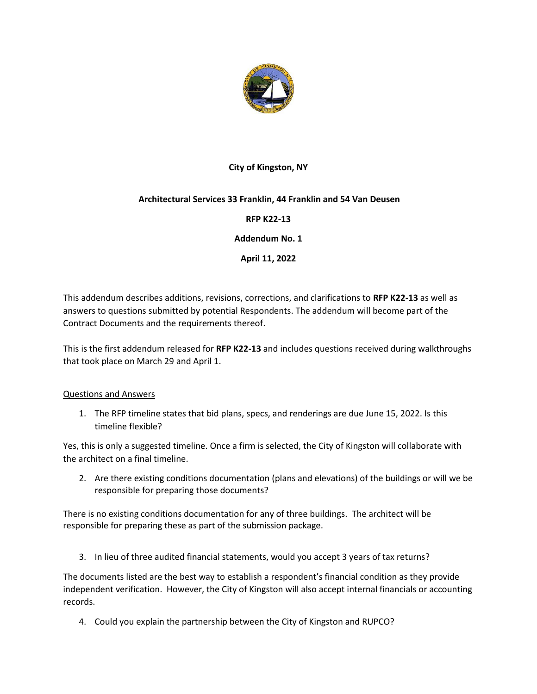

## **City of Kingston, NY**

## **Architectural Services 33 Franklin, 44 Franklin and 54 Van Deusen**

**RFP K22-13**

**Addendum No. 1**

**April 11, 2022**

This addendum describes additions, revisions, corrections, and clarifications to **RFP K22-13** as well as answers to questions submitted by potential Respondents. The addendum will become part of the Contract Documents and the requirements thereof.

This is the first addendum released for **RFP K22-13** and includes questions received during walkthroughs that took place on March 29 and April 1.

## Questions and Answers

1. The RFP timeline states that bid plans, specs, and renderings are due June 15, 2022. Is this timeline flexible?

Yes, this is only a suggested timeline. Once a firm is selected, the City of Kingston will collaborate with the architect on a final timeline.

2. Are there existing conditions documentation (plans and elevations) of the buildings or will we be responsible for preparing those documents?

There is no existing conditions documentation for any of three buildings. The architect will be responsible for preparing these as part of the submission package.

3. In lieu of three audited financial statements, would you accept 3 years of tax returns?

The documents listed are the best way to establish a respondent's financial condition as they provide independent verification. However, the City of Kingston will also accept internal financials or accounting records.

4. Could you explain the partnership between the City of Kingston and RUPCO?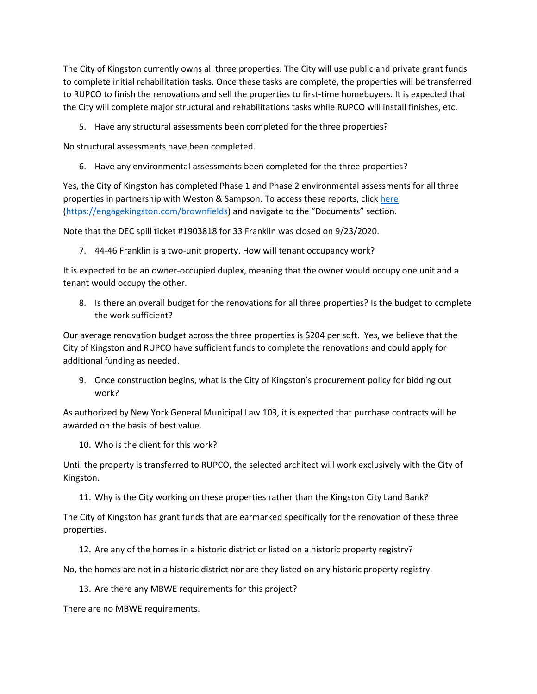The City of Kingston currently owns all three properties. The City will use public and private grant funds to complete initial rehabilitation tasks. Once these tasks are complete, the properties will be transferred to RUPCO to finish the renovations and sell the properties to first-time homebuyers. It is expected that the City will complete major structural and rehabilitations tasks while RUPCO will install finishes, etc.

5. Have any structural assessments been completed for the three properties?

No structural assessments have been completed.

6. Have any environmental assessments been completed for the three properties?

Yes, the City of Kingston has completed Phase 1 and Phase 2 environmental assessments for all three properties in partnership with Weston & Sampson. To access these reports, clic[k here](https://engagekingston.com/brownfields) [\(https://engagekingston.com/brownfields\)](https://engagekingston.com/brownfields) and navigate to the "Documents" section.

Note that the DEC spill ticket #1903818 for 33 Franklin was closed on 9/23/2020.

7. 44-46 Franklin is a two-unit property. How will tenant occupancy work?

It is expected to be an owner-occupied duplex, meaning that the owner would occupy one unit and a tenant would occupy the other.

8. Is there an overall budget for the renovations for all three properties? Is the budget to complete the work sufficient?

Our average renovation budget across the three properties is \$204 per sqft. Yes, we believe that the City of Kingston and RUPCO have sufficient funds to complete the renovations and could apply for additional funding as needed.

9. Once construction begins, what is the City of Kingston's procurement policy for bidding out work?

As authorized by New York General Municipal Law 103, it is expected that purchase contracts will be awarded on the basis of best value.

10. Who is the client for this work?

Until the property is transferred to RUPCO, the selected architect will work exclusively with the City of Kingston.

11. Why is the City working on these properties rather than the Kingston City Land Bank?

The City of Kingston has grant funds that are earmarked specifically for the renovation of these three properties.

12. Are any of the homes in a historic district or listed on a historic property registry?

No, the homes are not in a historic district nor are they listed on any historic property registry.

13. Are there any MBWE requirements for this project?

There are no MBWE requirements.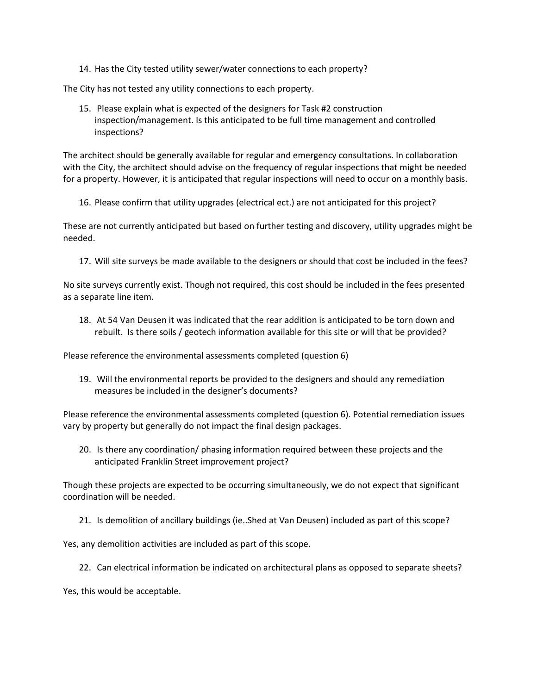14. Has the City tested utility sewer/water connections to each property?

The City has not tested any utility connections to each property.

15. Please explain what is expected of the designers for Task #2 construction inspection/management. Is this anticipated to be full time management and controlled inspections?

The architect should be generally available for regular and emergency consultations. In collaboration with the City, the architect should advise on the frequency of regular inspections that might be needed for a property. However, it is anticipated that regular inspections will need to occur on a monthly basis.

16. Please confirm that utility upgrades (electrical ect.) are not anticipated for this project?

These are not currently anticipated but based on further testing and discovery, utility upgrades might be needed.

17. Will site surveys be made available to the designers or should that cost be included in the fees?

No site surveys currently exist. Though not required, this cost should be included in the fees presented as a separate line item.

18. At 54 Van Deusen it was indicated that the rear addition is anticipated to be torn down and rebuilt. Is there soils / geotech information available for this site or will that be provided?

Please reference the environmental assessments completed (question 6)

19. Will the environmental reports be provided to the designers and should any remediation measures be included in the designer's documents?

Please reference the environmental assessments completed (question 6). Potential remediation issues vary by property but generally do not impact the final design packages.

20. Is there any coordination/ phasing information required between these projects and the anticipated Franklin Street improvement project?

Though these projects are expected to be occurring simultaneously, we do not expect that significant coordination will be needed.

21. Is demolition of ancillary buildings (ie..Shed at Van Deusen) included as part of this scope?

Yes, any demolition activities are included as part of this scope.

22. Can electrical information be indicated on architectural plans as opposed to separate sheets?

Yes, this would be acceptable.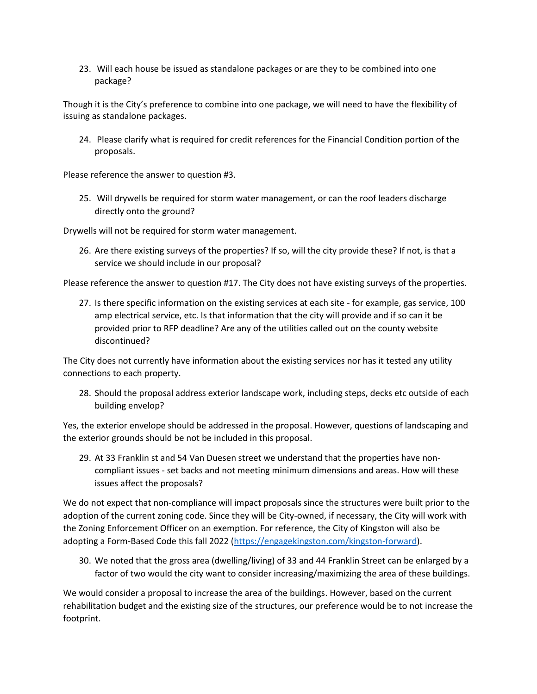23. Will each house be issued as standalone packages or are they to be combined into one package?

Though it is the City's preference to combine into one package, we will need to have the flexibility of issuing as standalone packages.

24. Please clarify what is required for credit references for the Financial Condition portion of the proposals.

Please reference the answer to question #3.

25. Will drywells be required for storm water management, or can the roof leaders discharge directly onto the ground?

Drywells will not be required for storm water management.

26. Are there existing surveys of the properties? If so, will the city provide these? If not, is that a service we should include in our proposal?

Please reference the answer to question #17. The City does not have existing surveys of the properties.

27. Is there specific information on the existing services at each site - for example, gas service, 100 amp electrical service, etc. Is that information that the city will provide and if so can it be provided prior to RFP deadline? Are any of the utilities called out on the county website discontinued?

The City does not currently have information about the existing services nor has it tested any utility connections to each property.

28. Should the proposal address exterior landscape work, including steps, decks etc outside of each building envelop?

Yes, the exterior envelope should be addressed in the proposal. However, questions of landscaping and the exterior grounds should be not be included in this proposal.

29. At 33 Franklin st and 54 Van Duesen street we understand that the properties have noncompliant issues - set backs and not meeting minimum dimensions and areas. How will these issues affect the proposals?

We do not expect that non-compliance will impact proposals since the structures were built prior to the adoption of the current zoning code. Since they will be City-owned, if necessary, the City will work with the Zoning Enforcement Officer on an exemption. For reference, the City of Kingston will also be adopting a Form-Based Code this fall 2022 [\(https://engagekingston.com/kingston-forward\)](https://engagekingston.com/kingston-forward).

30. We noted that the gross area (dwelling/living) of 33 and 44 Franklin Street can be enlarged by a factor of two would the city want to consider increasing/maximizing the area of these buildings.

We would consider a proposal to increase the area of the buildings. However, based on the current rehabilitation budget and the existing size of the structures, our preference would be to not increase the footprint.